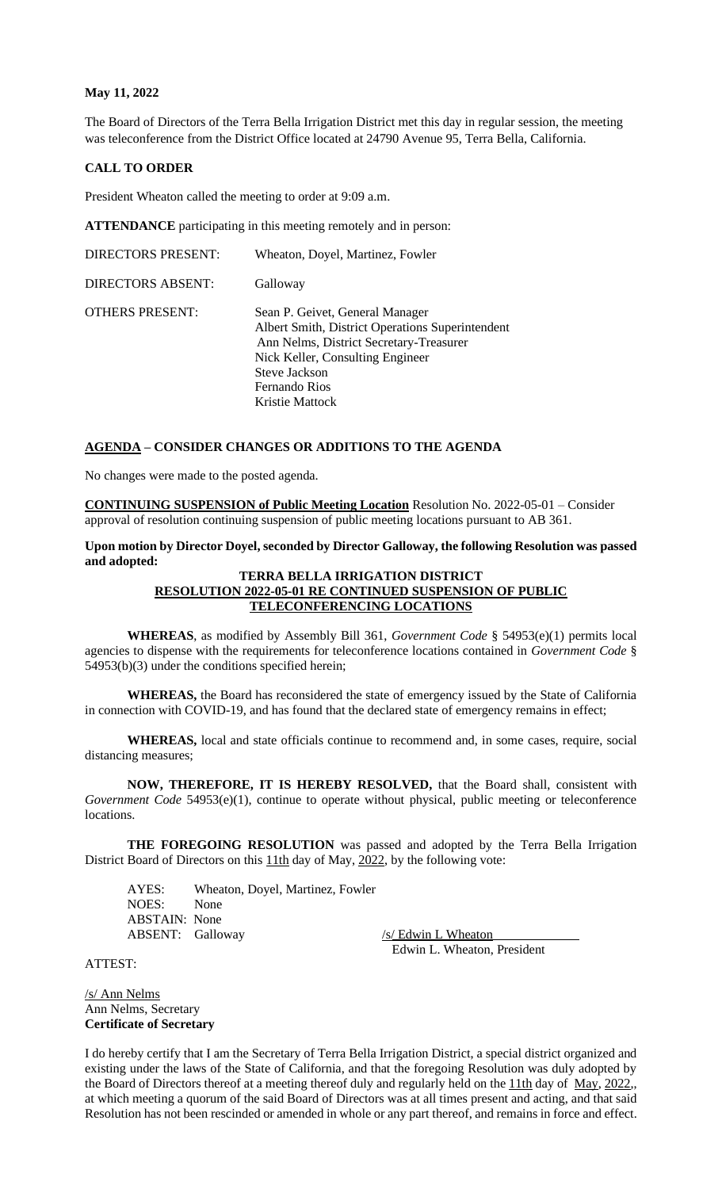### **May 11, 2022**

The Board of Directors of the Terra Bella Irrigation District met this day in regular session, the meeting was teleconference from the District Office located at 24790 Avenue 95, Terra Bella, California.

#### **CALL TO ORDER**

President Wheaton called the meeting to order at 9:09 a.m.

**ATTENDANCE** participating in this meeting remotely and in person:

| <b>DIRECTORS PRESENT:</b> | Wheaton, Doyel, Martinez, Fowler                                                                                                                                                                                        |
|---------------------------|-------------------------------------------------------------------------------------------------------------------------------------------------------------------------------------------------------------------------|
| <b>DIRECTORS ABSENT:</b>  | Galloway                                                                                                                                                                                                                |
| <b>OTHERS PRESENT:</b>    | Sean P. Geivet, General Manager<br>Albert Smith, District Operations Superintendent<br>Ann Nelms, District Secretary-Treasurer<br>Nick Keller, Consulting Engineer<br>Steve Jackson<br>Fernando Rios<br>Kristie Mattock |

#### **AGENDA – CONSIDER CHANGES OR ADDITIONS TO THE AGENDA**

No changes were made to the posted agenda.

**CONTINUING SUSPENSION of Public Meeting Location** Resolution No. 2022-05-01 – Consider approval of resolution continuing suspension of public meeting locations pursuant to AB 361.

**Upon motion by Director Doyel, seconded by Director Galloway, the following Resolution was passed and adopted:**

## **TERRA BELLA IRRIGATION DISTRICT RESOLUTION 2022-05-01 RE CONTINUED SUSPENSION OF PUBLIC TELECONFERENCING LOCATIONS**

**WHEREAS**, as modified by Assembly Bill 361, *Government Code* § 54953(e)(1) permits local agencies to dispense with the requirements for teleconference locations contained in *Government Code* § 54953(b)(3) under the conditions specified herein;

**WHEREAS,** the Board has reconsidered the state of emergency issued by the State of California in connection with COVID-19, and has found that the declared state of emergency remains in effect;

**WHEREAS,** local and state officials continue to recommend and, in some cases, require, social distancing measures;

**NOW, THEREFORE, IT IS HEREBY RESOLVED,** that the Board shall, consistent with *Government Code* 54953(e)(1), continue to operate without physical, public meeting or teleconference locations.

THE FOREGOING RESOLUTION was passed and adopted by the Terra Bella Irrigation District Board of Directors on this **11th** day of May, 2022, by the following vote:

AYES: Wheaton, Doyel, Martinez, Fowler NOES: None ABSTAIN: None ABSENT: Galloway /s/ Edwin L Wheaton

Edwin L. Wheaton, President

#### ATTEST:

/s/ Ann Nelms Ann Nelms, Secretary **Certificate of Secretary**

I do hereby certify that I am the Secretary of Terra Bella Irrigation District, a special district organized and existing under the laws of the State of California, and that the foregoing Resolution was duly adopted by the Board of Directors thereof at a meeting thereof duly and regularly held on the 11th day of May, 2022,, at which meeting a quorum of the said Board of Directors was at all times present and acting, and that said Resolution has not been rescinded or amended in whole or any part thereof, and remains in force and effect.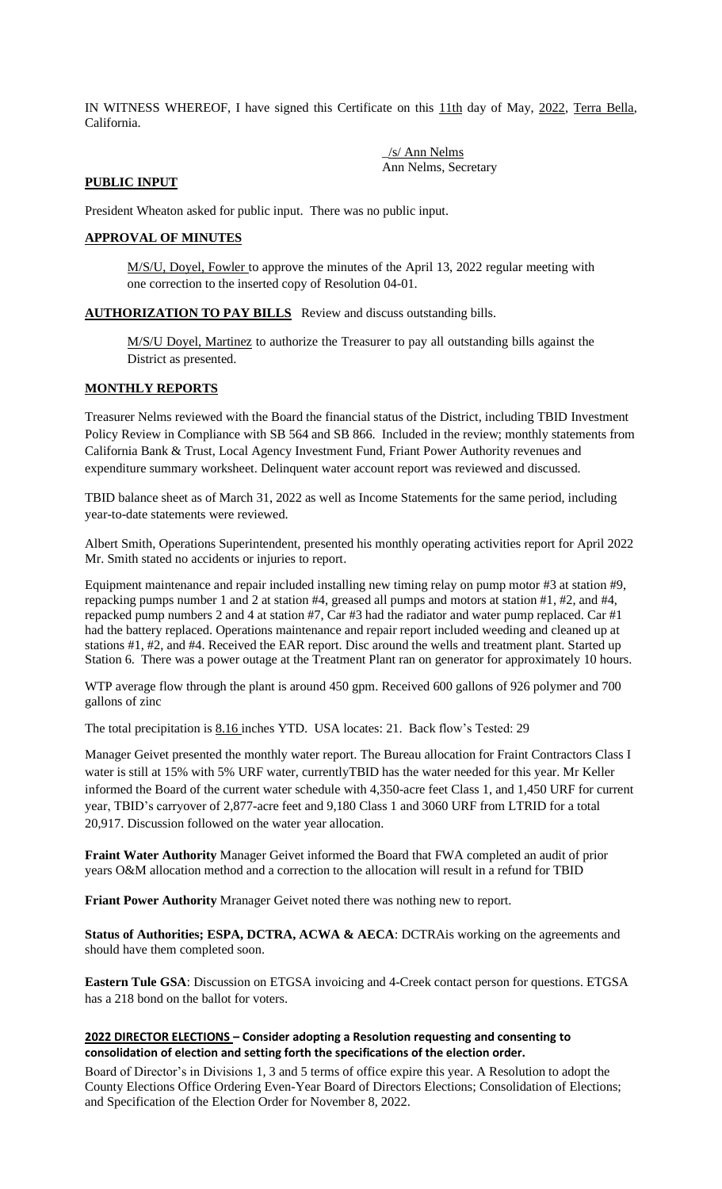IN WITNESS WHEREOF, I have signed this Certificate on this 11th day of May, 2022, Terra Bella, California.

> \_/s/ Ann Nelms Ann Nelms, Secretary

# **PUBLIC INPUT**

President Wheaton asked for public input. There was no public input.

# **APPROVAL OF MINUTES**

M/S/U, Doyel, Fowler to approve the minutes of the April 13, 2022 regular meeting with one correction to the inserted copy of Resolution 04-01.

**AUTHORIZATION TO PAY BILLS** Review and discuss outstanding bills.

M/S/U Doyel, Martinez to authorize the Treasurer to pay all outstanding bills against the District as presented.

# **MONTHLY REPORTS**

Treasurer Nelms reviewed with the Board the financial status of the District, including TBID Investment Policy Review in Compliance with SB 564 and SB 866. Included in the review; monthly statements from California Bank & Trust, Local Agency Investment Fund, Friant Power Authority revenues and expenditure summary worksheet. Delinquent water account report was reviewed and discussed.

TBID balance sheet as of March 31, 2022 as well as Income Statements for the same period, including year-to-date statements were reviewed.

Albert Smith, Operations Superintendent, presented his monthly operating activities report for April 2022 Mr. Smith stated no accidents or injuries to report.

Equipment maintenance and repair included installing new timing relay on pump motor #3 at station #9, repacking pumps number 1 and 2 at station #4, greased all pumps and motors at station #1, #2, and #4, repacked pump numbers 2 and 4 at station #7, Car #3 had the radiator and water pump replaced. Car #1 had the battery replaced. Operations maintenance and repair report included weeding and cleaned up at stations #1, #2, and #4. Received the EAR report. Disc around the wells and treatment plant. Started up Station 6. There was a power outage at the Treatment Plant ran on generator for approximately 10 hours.

WTP average flow through the plant is around 450 gpm. Received 600 gallons of 926 polymer and 700 gallons of zinc

The total precipitation is 8.16 inches YTD. USA locates: 21. Back flow's Tested: 29

Manager Geivet presented the monthly water report. The Bureau allocation for Fraint Contractors Class I water is still at 15% with 5% URF water, currentlyTBID has the water needed for this year. Mr Keller informed the Board of the current water schedule with 4,350-acre feet Class 1, and 1,450 URF for current year, TBID's carryover of 2,877-acre feet and 9,180 Class 1 and 3060 URF from LTRID for a total 20,917. Discussion followed on the water year allocation.

**Fraint Water Authority** Manager Geivet informed the Board that FWA completed an audit of prior years O&M allocation method and a correction to the allocation will result in a refund for TBID

**Friant Power Authority** Mranager Geivet noted there was nothing new to report.

**Status of Authorities; ESPA, DCTRA, ACWA & AECA**: DCTRAis working on the agreements and should have them completed soon.

**Eastern Tule GSA**: Discussion on ETGSA invoicing and 4-Creek contact person for questions. ETGSA has a 218 bond on the ballot for voters.

## **2022 DIRECTOR ELECTIONS – Consider adopting a Resolution requesting and consenting to consolidation of election and setting forth the specifications of the election order.**

Board of Director's in Divisions 1, 3 and 5 terms of office expire this year. A Resolution to adopt the County Elections Office Ordering Even-Year Board of Directors Elections; Consolidation of Elections; and Specification of the Election Order for November 8, 2022.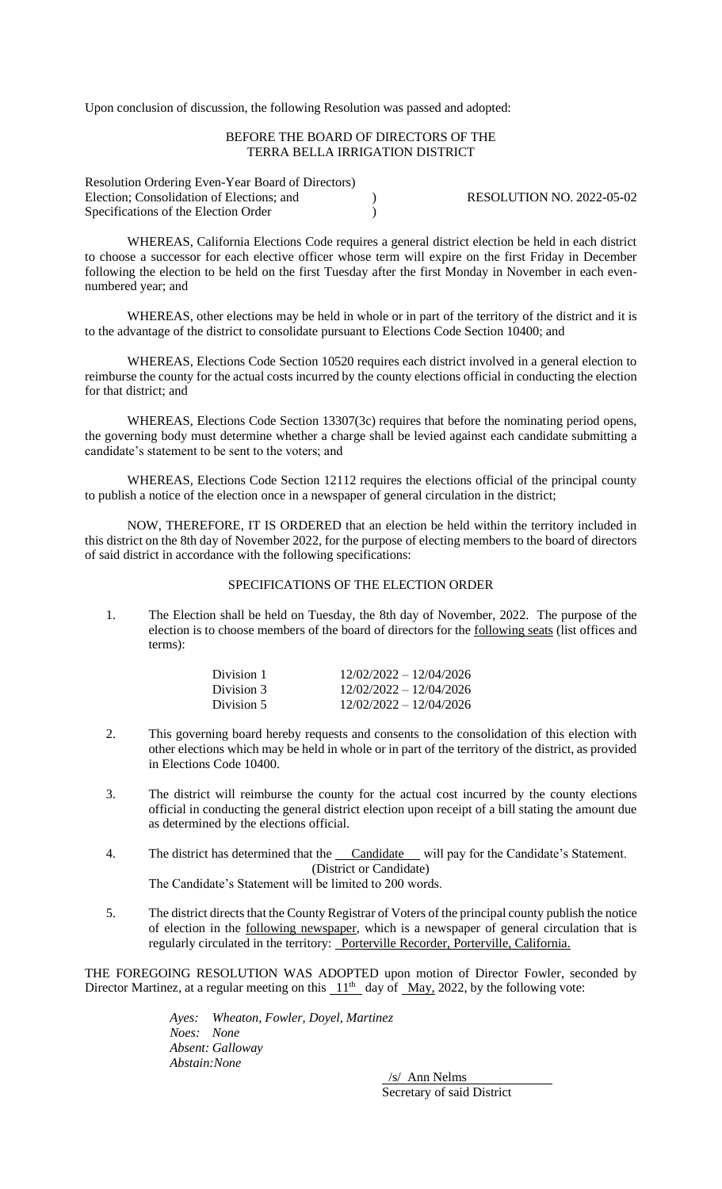Upon conclusion of discussion, the following Resolution was passed and adopted:

### BEFORE THE BOARD OF DIRECTORS OF THE TERRA BELLA IRRIGATION DISTRICT

Resolution Ordering Even-Year Board of Directors) Election; Consolidation of Elections; and  $RESOLUTION NO. 2022-05-02$ Specifications of the Election Order (1)

WHEREAS, California Elections Code requires a general district election be held in each district to choose a successor for each elective officer whose term will expire on the first Friday in December following the election to be held on the first Tuesday after the first Monday in November in each evennumbered year; and

WHEREAS, other elections may be held in whole or in part of the territory of the district and it is to the advantage of the district to consolidate pursuant to Elections Code Section 10400; and

WHEREAS, Elections Code Section 10520 requires each district involved in a general election to reimburse the county for the actual costs incurred by the county elections official in conducting the election for that district; and

WHEREAS, Elections Code Section 13307(3c) requires that before the nominating period opens, the governing body must determine whether a charge shall be levied against each candidate submitting a candidate's statement to be sent to the voters; and

WHEREAS, Elections Code Section 12112 requires the elections official of the principal county to publish a notice of the election once in a newspaper of general circulation in the district;

NOW, THEREFORE, IT IS ORDERED that an election be held within the territory included in this district on the 8th day of November 2022, for the purpose of electing members to the board of directors of said district in accordance with the following specifications:

### SPECIFICATIONS OF THE ELECTION ORDER

1. The Election shall be held on Tuesday, the 8th day of November, 2022. The purpose of the election is to choose members of the board of directors for the following seats (list offices and terms):

| Division 1 | $12/02/2022 - 12/04/2026$ |
|------------|---------------------------|
| Division 3 | $12/02/2022 - 12/04/2026$ |
| Division 5 | $12/02/2022 - 12/04/2026$ |

- 2. This governing board hereby requests and consents to the consolidation of this election with other elections which may be held in whole or in part of the territory of the district, as provided in Elections Code 10400.
- 3. The district will reimburse the county for the actual cost incurred by the county elections official in conducting the general district election upon receipt of a bill stating the amount due as determined by the elections official.
- 4. The district has determined that the Candidate will pay for the Candidate's Statement. (District or Candidate)
	- The Candidate's Statement will be limited to 200 words.
- 5. The district directs that the County Registrar of Voters of the principal county publish the notice of election in the following newspaper, which is a newspaper of general circulation that is regularly circulated in the territory: Porterville Recorder, Porterville, California.

THE FOREGOING RESOLUTION WAS ADOPTED upon motion of Director Fowler, seconded by Director Martinez, at a regular meeting on this  $11<sup>th</sup>$  day of May, 2022, by the following vote:

> *Ayes: Wheaton, Fowler, Doyel, Martinez Noes: None Absent: Galloway Abstain:None*

> > /s/ Ann Nelms Secretary of said District